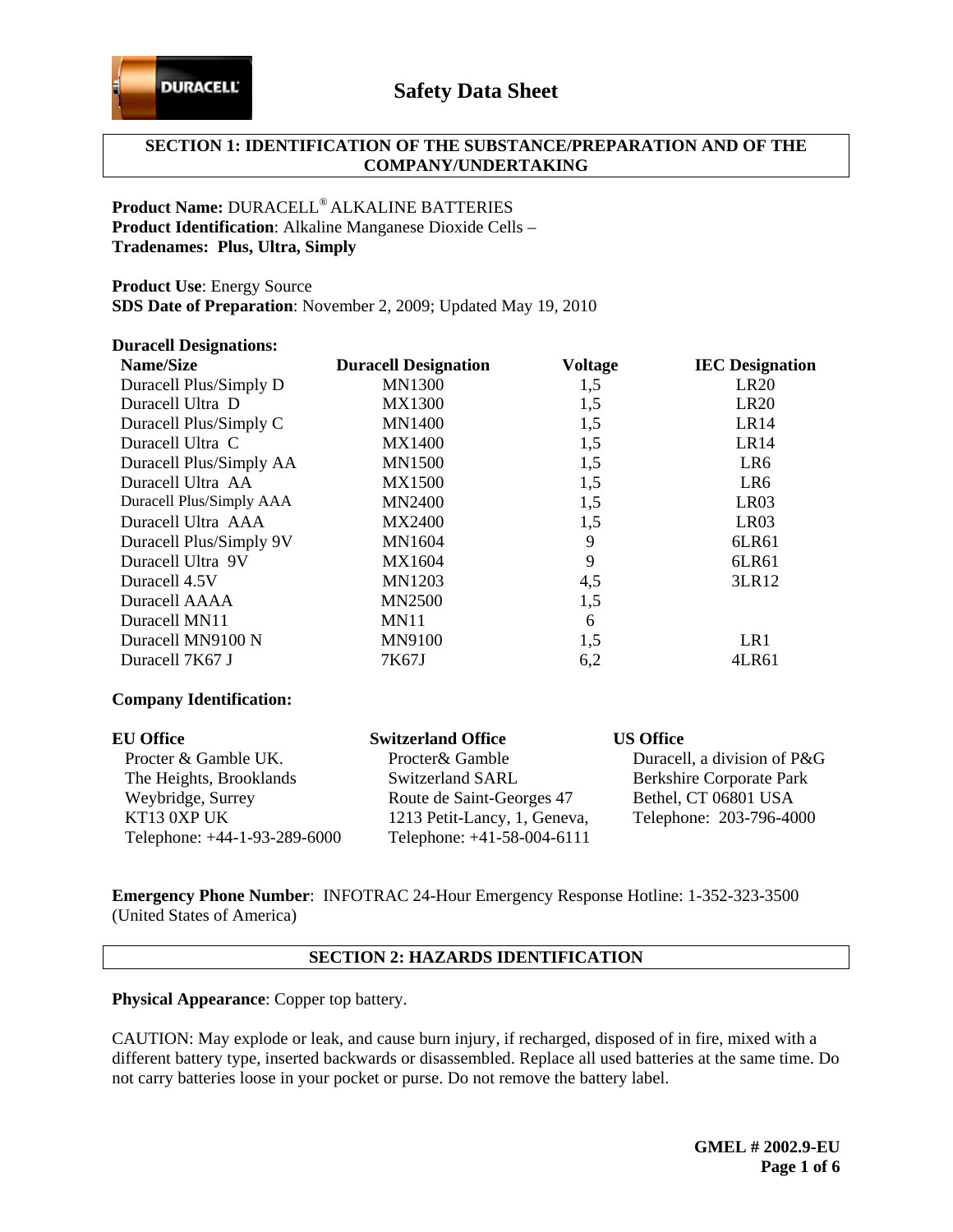

# **SECTION 1: IDENTIFICATION OF THE SUBSTANCE/PREPARATION AND OF THE COMPANY/UNDERTAKING**

# **Product Name:** DURACELL® ALKALINE BATTERIES **Product Identification**: Alkaline Manganese Dioxide Cells – **Tradenames: Plus, Ultra, Simply**

**Product Use**: Energy Source

**SDS Date of Preparation**: November 2, 2009; Updated May 19, 2010

#### **Duracell Designations:**

| <b>Name/Size</b>         | <b>Duracell Designation</b> | <b>Voltage</b> | <b>IEC</b> Designation |
|--------------------------|-----------------------------|----------------|------------------------|
| Duracell Plus/Simply D   | <b>MN1300</b>               | 1,5            | LR20                   |
| Duracell Ultra D         | <b>MX1300</b>               | 1,5            | <b>LR20</b>            |
| Duracell Plus/Simply C   | <b>MN1400</b>               | 1,5            | LR <sub>14</sub>       |
| Duracell Ultra C         | <b>MX1400</b>               | 1,5            | LR14                   |
| Duracell Plus/Simply AA  | <b>MN1500</b>               | 1,5            | LR6                    |
| Duracell Ultra AA        | <b>MX1500</b>               | 1,5            | LR6                    |
| Duracell Plus/Simply AAA | <b>MN2400</b>               | 1,5            | LR <sub>03</sub>       |
| Duracell Ultra AAA       | <b>MX2400</b>               | 1,5            | LR03                   |
| Duracell Plus/Simply 9V  | <b>MN1604</b>               | 9              | 6LR61                  |
| Duracell Ultra 9V        | MX1604                      | 9              | 6LR61                  |
| Duracell 4.5V            | <b>MN1203</b>               | 4,5            | 3LR12                  |
| Duracell AAAA            | <b>MN2500</b>               | 1,5            |                        |
| Duracell MN11            | MN11                        | 6              |                        |
| Duracell MN9100 N        | <b>MN9100</b>               | 1,5            | LR1                    |
| Duracell 7K67 J          | 7K67J                       | 6,2            | 4LR61                  |
|                          |                             |                |                        |

#### **Company Identification:**

| <b>EU Office</b>             | <b>Switzerland Office</b>    | <b>US Office</b>                |
|------------------------------|------------------------------|---------------------------------|
| Procter & Gamble UK.         | Procter& Gamble              | Duracell, a division of P&G     |
| The Heights, Brooklands      | Switzerland SARL             | <b>Berkshire Corporate Park</b> |
| Weybridge, Surrey            | Route de Saint-Georges 47    | Bethel, CT 06801 USA            |
| KT13 0XP UK                  | 1213 Petit-Lancy, 1, Geneva, | Telephone: 203-796-4000         |
| Telephone: +44-1-93-289-6000 | Telephone: +41-58-004-6111   |                                 |

**Emergency Phone Number**: INFOTRAC 24-Hour Emergency Response Hotline: 1-352-323-3500 (United States of America)

### **SECTION 2: HAZARDS IDENTIFICATION**

**Physical Appearance**: Copper top battery.

CAUTION: May explode or leak, and cause burn injury, if recharged, disposed of in fire, mixed with a different battery type, inserted backwards or disassembled. Replace all used batteries at the same time. Do not carry batteries loose in your pocket or purse. Do not remove the battery label.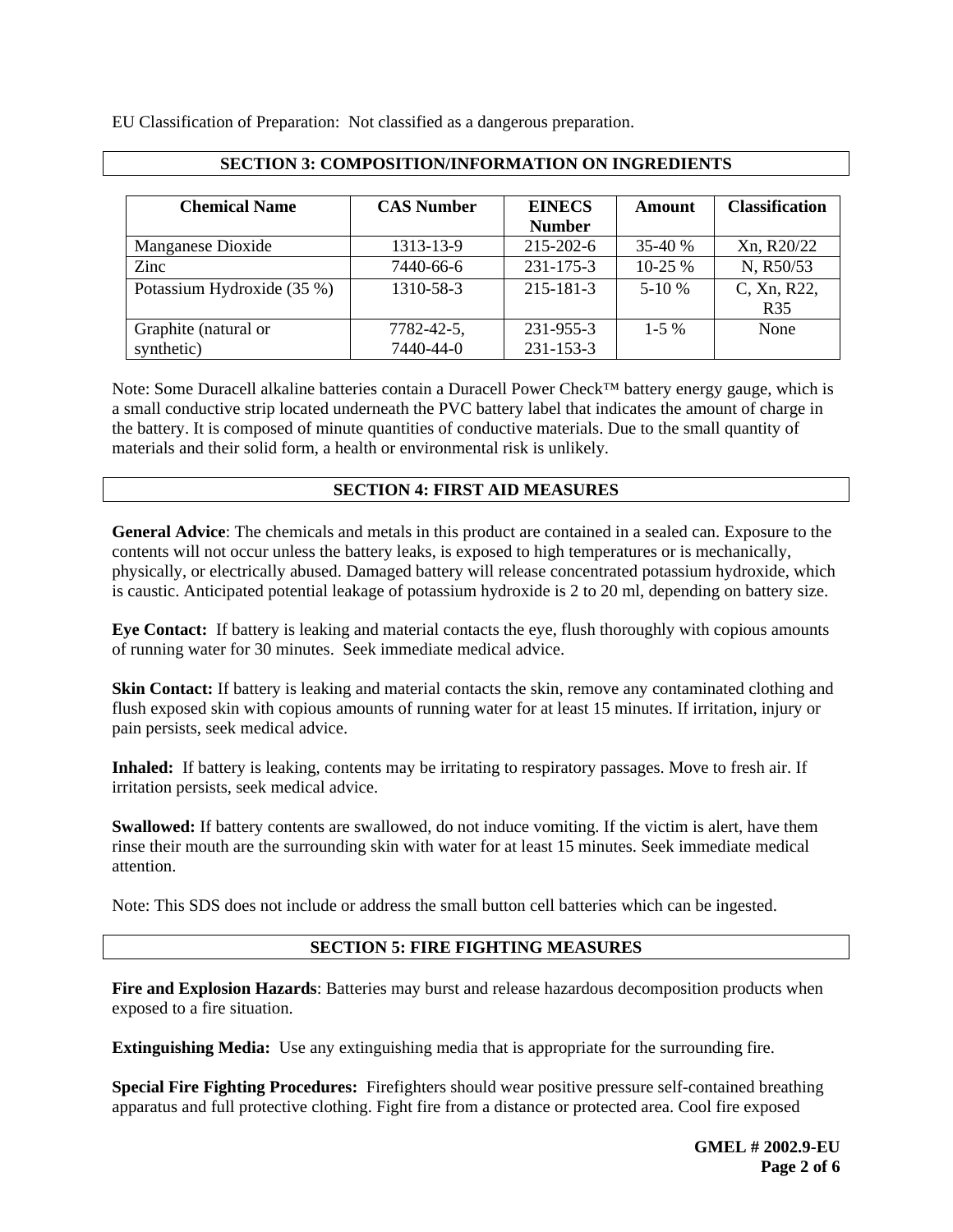EU Classification of Preparation: Not classified as a dangerous preparation.

| <b>Chemical Name</b>       | <b>CAS Number</b> | <b>EINECS</b><br><b>Number</b> | Amount    | <b>Classification</b> |
|----------------------------|-------------------|--------------------------------|-----------|-----------------------|
| Manganese Dioxide          | 1313-13-9         | 215-202-6                      | 35-40 %   | Xn, R20/22            |
| Zinc                       | 7440-66-6         | $231 - 175 - 3$                | $10-25%$  | N, R50/53             |
| Potassium Hydroxide (35 %) | 1310-58-3         | 215-181-3                      | $5-10%$   | C, Xn, R22,           |
|                            |                   |                                |           | <b>R35</b>            |
| Graphite (natural or       | 7782-42-5,        | 231-955-3                      | $1 - 5\%$ | None                  |
| synthetic)                 | 7440-44-0         | 231-153-3                      |           |                       |

# **SECTION 3: COMPOSITION/INFORMATION ON INGREDIENTS**

Note: Some Duracell alkaline batteries contain a Duracell Power Check™ battery energy gauge, which is a small conductive strip located underneath the PVC battery label that indicates the amount of charge in the battery. It is composed of minute quantities of conductive materials. Due to the small quantity of materials and their solid form, a health or environmental risk is unlikely.

## **SECTION 4: FIRST AID MEASURES**

**General Advice**: The chemicals and metals in this product are contained in a sealed can. Exposure to the contents will not occur unless the battery leaks, is exposed to high temperatures or is mechanically, physically, or electrically abused. Damaged battery will release concentrated potassium hydroxide, which is caustic. Anticipated potential leakage of potassium hydroxide is 2 to 20 ml, depending on battery size.

**Eye Contact:** If battery is leaking and material contacts the eye, flush thoroughly with copious amounts of running water for 30 minutes. Seek immediate medical advice.

**Skin Contact:** If battery is leaking and material contacts the skin, remove any contaminated clothing and flush exposed skin with copious amounts of running water for at least 15 minutes. If irritation, injury or pain persists, seek medical advice.

**Inhaled:** If battery is leaking, contents may be irritating to respiratory passages. Move to fresh air. If irritation persists, seek medical advice.

**Swallowed:** If battery contents are swallowed, do not induce vomiting. If the victim is alert, have them rinse their mouth are the surrounding skin with water for at least 15 minutes. Seek immediate medical attention.

Note: This SDS does not include or address the small button cell batteries which can be ingested.

# **SECTION 5: FIRE FIGHTING MEASURES**

**Fire and Explosion Hazards**: Batteries may burst and release hazardous decomposition products when exposed to a fire situation.

**Extinguishing Media:** Use any extinguishing media that is appropriate for the surrounding fire.

**Special Fire Fighting Procedures:** Firefighters should wear positive pressure self-contained breathing apparatus and full protective clothing. Fight fire from a distance or protected area. Cool fire exposed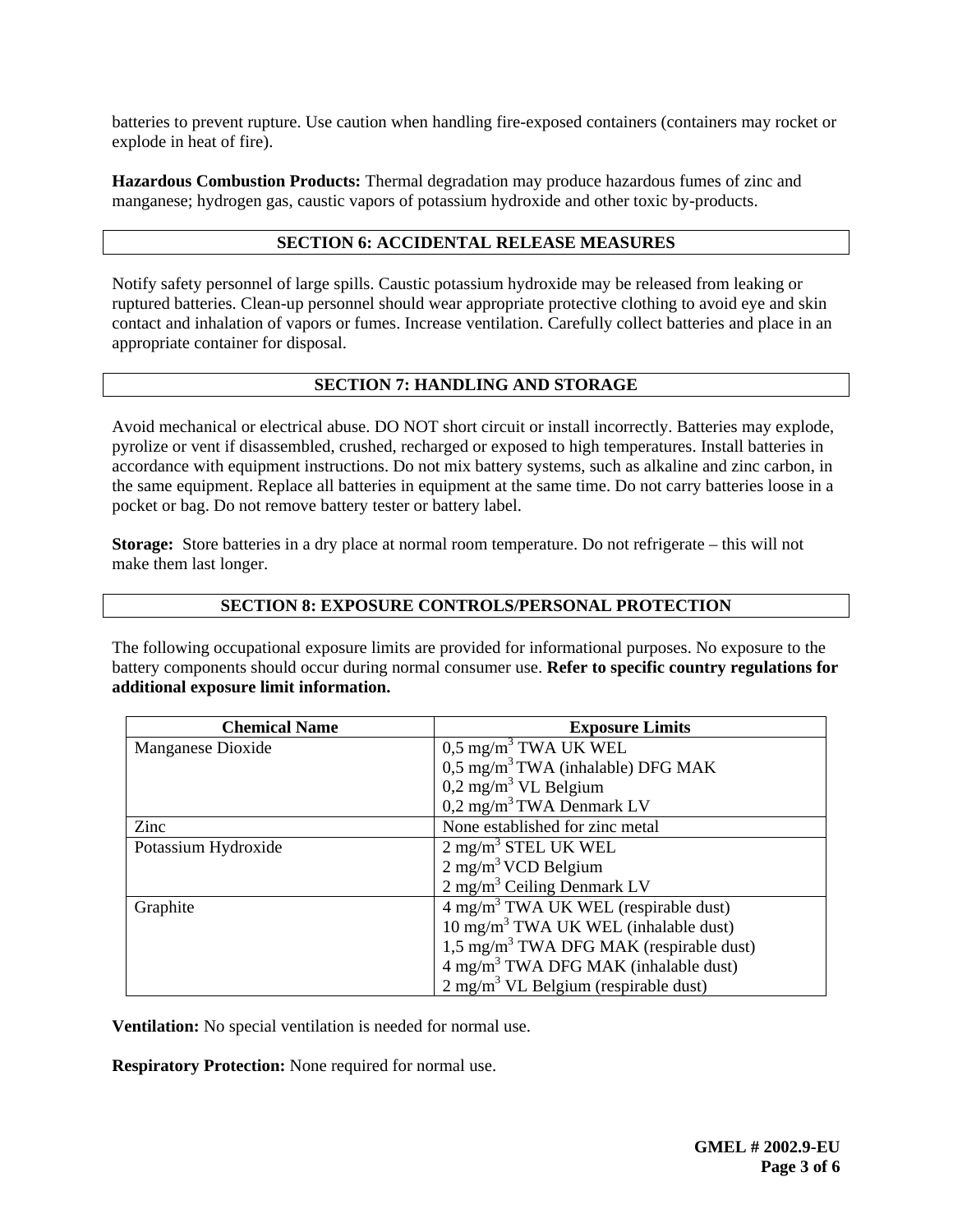batteries to prevent rupture. Use caution when handling fire-exposed containers (containers may rocket or explode in heat of fire).

**Hazardous Combustion Products:** Thermal degradation may produce hazardous fumes of zinc and manganese; hydrogen gas, caustic vapors of potassium hydroxide and other toxic by-products.

### **SECTION 6: ACCIDENTAL RELEASE MEASURES**

Notify safety personnel of large spills. Caustic potassium hydroxide may be released from leaking or ruptured batteries. Clean-up personnel should wear appropriate protective clothing to avoid eye and skin contact and inhalation of vapors or fumes. Increase ventilation. Carefully collect batteries and place in an appropriate container for disposal.

# **SECTION 7: HANDLING AND STORAGE**

Avoid mechanical or electrical abuse. DO NOT short circuit or install incorrectly. Batteries may explode, pyrolize or vent if disassembled, crushed, recharged or exposed to high temperatures. Install batteries in accordance with equipment instructions. Do not mix battery systems, such as alkaline and zinc carbon, in the same equipment. Replace all batteries in equipment at the same time. Do not carry batteries loose in a pocket or bag. Do not remove battery tester or battery label.

**Storage:** Store batteries in a dry place at normal room temperature. Do not refrigerate – this will not make them last longer.

#### **SECTION 8: EXPOSURE CONTROLS/PERSONAL PROTECTION**

The following occupational exposure limits are provided for informational purposes. No exposure to the battery components should occur during normal consumer use. **Refer to specific country regulations for additional exposure limit information.** 

| <b>Chemical Name</b> | <b>Exposure Limits</b>                             |
|----------------------|----------------------------------------------------|
| Manganese Dioxide    | $0.5 \text{ mg/m}^3$ TWA UK WEL                    |
|                      | $0.5 \text{ mg/m}^3$ TWA (inhalable) DFG MAK       |
|                      | $0,2$ mg/m <sup>3</sup> VL Belgium                 |
|                      | 0,2 mg/m <sup>3</sup> TWA Denmark LV               |
| Zinc                 | None established for zinc metal                    |
| Potassium Hydroxide  | $2 \text{ mg/m}^3$ STEL UK WEL                     |
|                      | $2 \text{ mg/m}^3$ VCD Belgium                     |
|                      | $2$ mg/m <sup>3</sup> Ceiling Denmark LV           |
| Graphite             | 4 mg/m <sup>3</sup> TWA UK WEL (respirable dust)   |
|                      | 10 mg/m <sup>3</sup> TWA UK WEL (inhalable dust)   |
|                      | $1.5 \text{ mg/m}^3$ TWA DFG MAK (respirable dust) |
|                      | 4 mg/m <sup>3</sup> TWA DFG MAK (inhalable dust)   |
|                      | $2 \text{ mg/m}^3$ VL Belgium (respirable dust)    |

**Ventilation:** No special ventilation is needed for normal use.

**Respiratory Protection:** None required for normal use.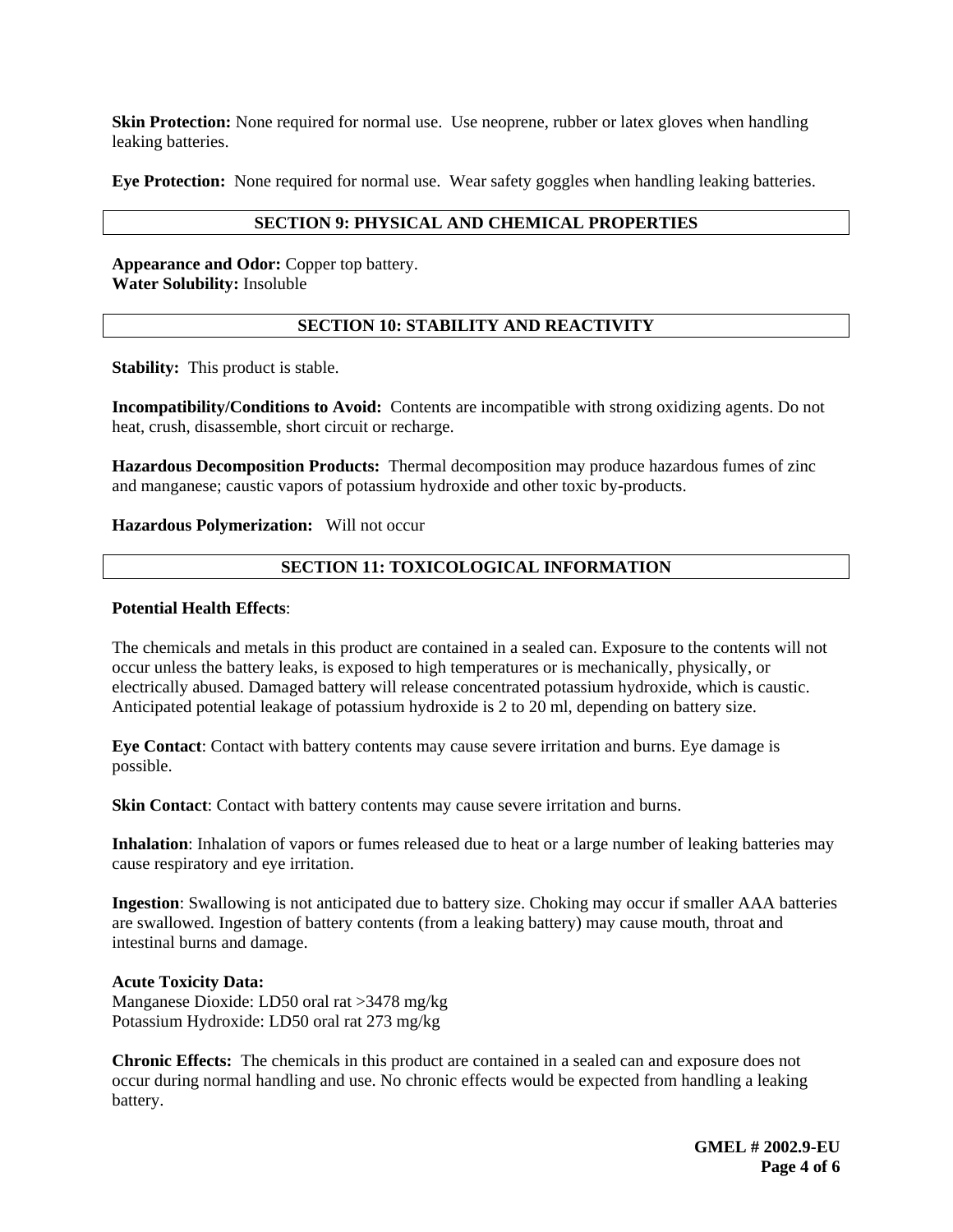**Skin Protection:** None required for normal use. Use neoprene, rubber or latex gloves when handling leaking batteries.

**Eye Protection:** None required for normal use. Wear safety goggles when handling leaking batteries.

#### **SECTION 9: PHYSICAL AND CHEMICAL PROPERTIES**

**Appearance and Odor:** Copper top battery. **Water Solubility:** Insoluble

### **SECTION 10: STABILITY AND REACTIVITY**

**Stability:** This product is stable.

**Incompatibility/Conditions to Avoid:** Contents are incompatible with strong oxidizing agents. Do not heat, crush, disassemble, short circuit or recharge.

**Hazardous Decomposition Products:** Thermal decomposition may produce hazardous fumes of zinc and manganese; caustic vapors of potassium hydroxide and other toxic by-products.

**Hazardous Polymerization:** Will not occur

### **SECTION 11: TOXICOLOGICAL INFORMATION**

#### **Potential Health Effects**:

The chemicals and metals in this product are contained in a sealed can. Exposure to the contents will not occur unless the battery leaks, is exposed to high temperatures or is mechanically, physically, or electrically abused. Damaged battery will release concentrated potassium hydroxide, which is caustic. Anticipated potential leakage of potassium hydroxide is 2 to 20 ml, depending on battery size.

**Eye Contact**: Contact with battery contents may cause severe irritation and burns. Eye damage is possible.

**Skin Contact**: Contact with battery contents may cause severe irritation and burns.

**Inhalation**: Inhalation of vapors or fumes released due to heat or a large number of leaking batteries may cause respiratory and eye irritation.

**Ingestion**: Swallowing is not anticipated due to battery size. Choking may occur if smaller AAA batteries are swallowed. Ingestion of battery contents (from a leaking battery) may cause mouth, throat and intestinal burns and damage.

#### **Acute Toxicity Data:**

Manganese Dioxide: LD50 oral rat >3478 mg/kg Potassium Hydroxide: LD50 oral rat 273 mg/kg

**Chronic Effects:** The chemicals in this product are contained in a sealed can and exposure does not occur during normal handling and use. No chronic effects would be expected from handling a leaking battery.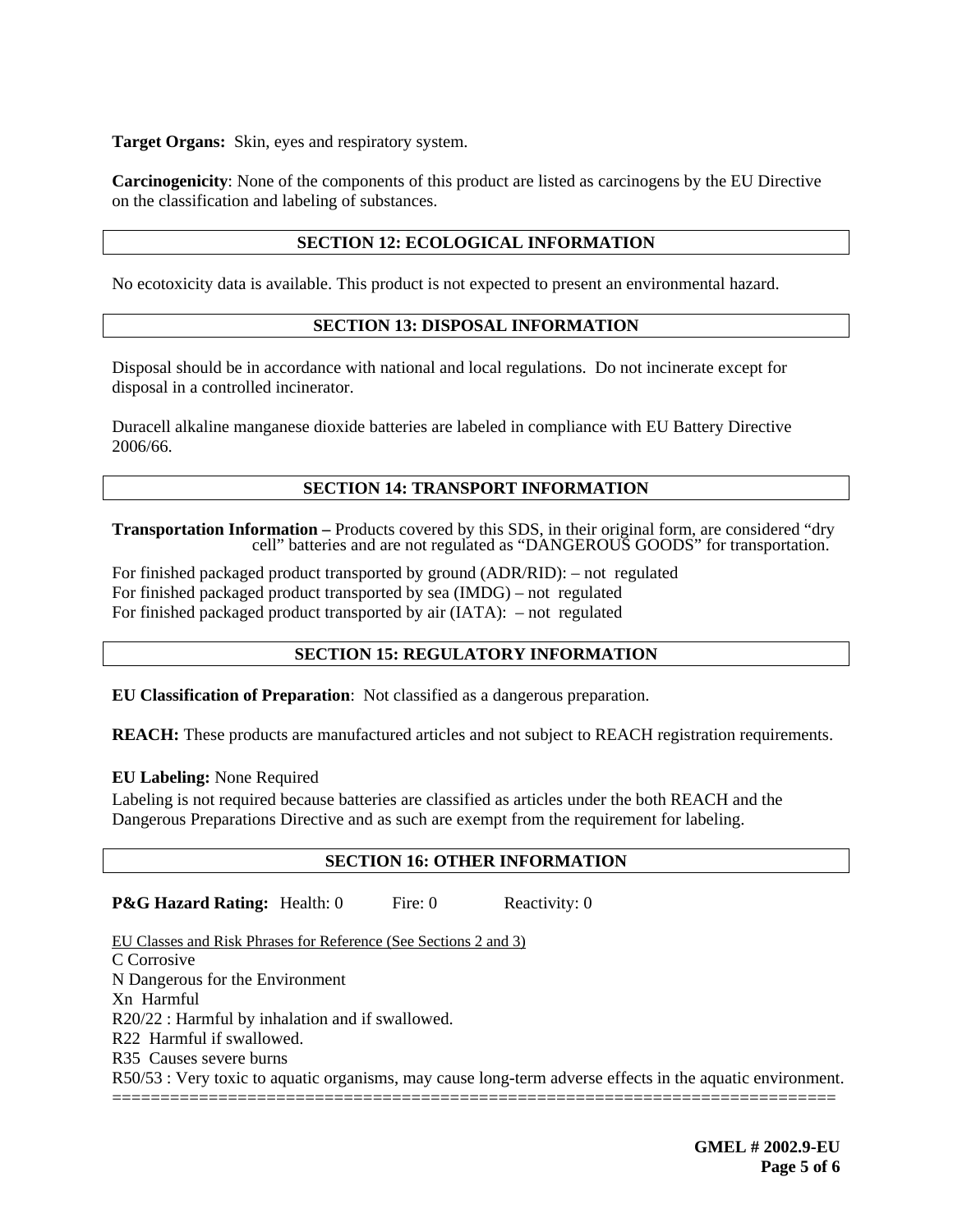**Target Organs:** Skin, eyes and respiratory system.

**Carcinogenicity**: None of the components of this product are listed as carcinogens by the EU Directive on the classification and labeling of substances.

# **SECTION 12: ECOLOGICAL INFORMATION**

No ecotoxicity data is available. This product is not expected to present an environmental hazard.

## **SECTION 13: DISPOSAL INFORMATION**

Disposal should be in accordance with national and local regulations. Do not incinerate except for disposal in a controlled incinerator.

Duracell alkaline manganese dioxide batteries are labeled in compliance with EU Battery Directive 2006/66.

# **SECTION 14: TRANSPORT INFORMATION**

**Transportation Information –** Products covered by this SDS, in their original form, are considered "dry cell" batteries and are not regulated as "DANGEROUS GOODS" for transportation.

For finished packaged product transported by ground (ADR/RID): – not regulated For finished packaged product transported by sea (IMDG) – not regulated For finished packaged product transported by air (IATA):– not regulated

# **SECTION 15: REGULATORY INFORMATION**

**EU Classification of Preparation**: Not classified as a dangerous preparation.

**REACH:** These products are manufactured articles and not subject to REACH registration requirements.

### **EU Labeling:** None Required

Labeling is not required because batteries are classified as articles under the both REACH and the Dangerous Preparations Directive and as such are exempt from the requirement for labeling.

# **SECTION 16: OTHER INFORMATION**

**P&G Hazard Rating:** Health: 0 Fire: 0 Reactivity: 0

EU Classes and Risk Phrases for Reference (See Sections 2 and 3) C Corrosive N Dangerous for the Environment Xn Harmful R20/22 : Harmful by inhalation and if swallowed. R22 Harmful if swallowed. R35 Causes severe burns R50/53 : Very toxic to aquatic organisms, may cause long-term adverse effects in the aquatic environment. ===========================================================================